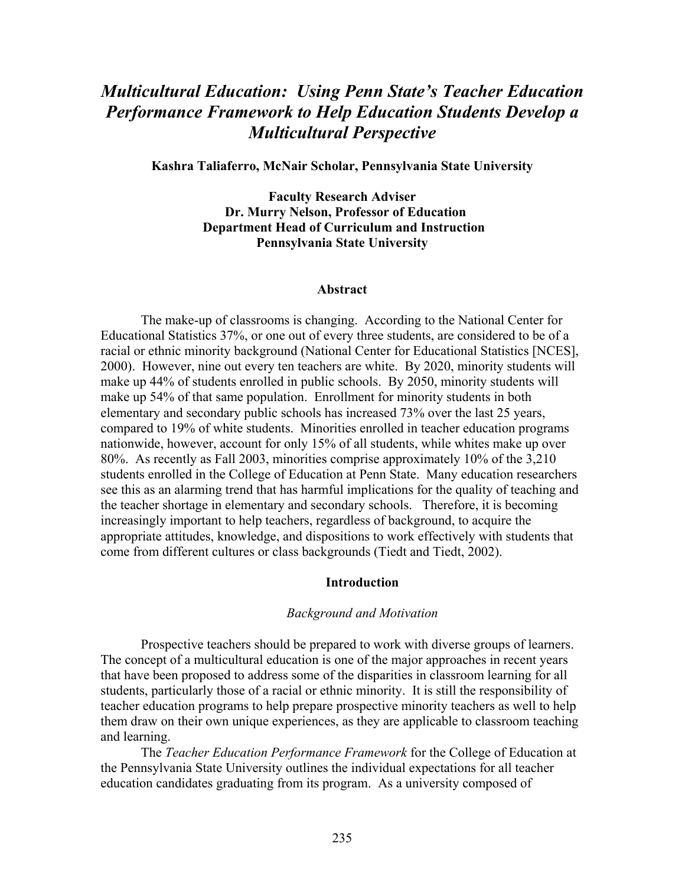# *Multicultural Education: Using Penn State's Teacher Education Performance Framework to Help Education Students Develop a Multicultural Perspective*

**Kashra Taliaferro, McNair Scholar, Pennsylvania State University** 

**Faculty Research Adviser Dr. Murry Nelson, Professor of Education Department Head of Curriculum and Instruction Pennsylvania State University** 

#### **Abstract**

The make-up of classrooms is changing. According to the National Center for Educational Statistics 37%, or one out of every three students, are considered to be of a racial or ethnic minority background (National Center for Educational Statistics [NCES], 2000). However, nine out every ten teachers are white. By 2020, minority students will make up 44% of students enrolled in public schools. By 2050, minority students will make up 54% of that same population. Enrollment for minority students in both elementary and secondary public schools has increased 73% over the last 25 years, compared to 19% of white students. Minorities enrolled in teacher education programs nationwide, however, account for only 15% of all students, while whites make up over 80%. As recently as Fall 2003, minorities comprise approximately 10% of the 3,210 students enrolled in the College of Education at Penn State. Many education researchers see this as an alarming trend that has harmful implications for the quality of teaching and the teacher shortage in elementary and secondary schools. Therefore, it is becoming increasingly important to help teachers, regardless of background, to acquire the appropriate attitudes, knowledge, and dispositions to work effectively with students that come from different cultures or class backgrounds (Tiedt and Tiedt, 2002).

#### **Introduction**

#### *Background and Motivation*

Prospective teachers should be prepared to work with diverse groups of learners. The concept of a multicultural education is one of the major approaches in recent years that have been proposed to address some of the disparities in classroom learning for all students, particularly those of a racial or ethnic minority. It is still the responsibility of teacher education programs to help prepare prospective minority teachers as well to help them draw on their own unique experiences, as they are applicable to classroom teaching and learning.

The *Teacher Education Performance Framework* for the College of Education at the Pennsylvania State University outlines the individual expectations for all teacher education candidates graduating from its program. As a university composed of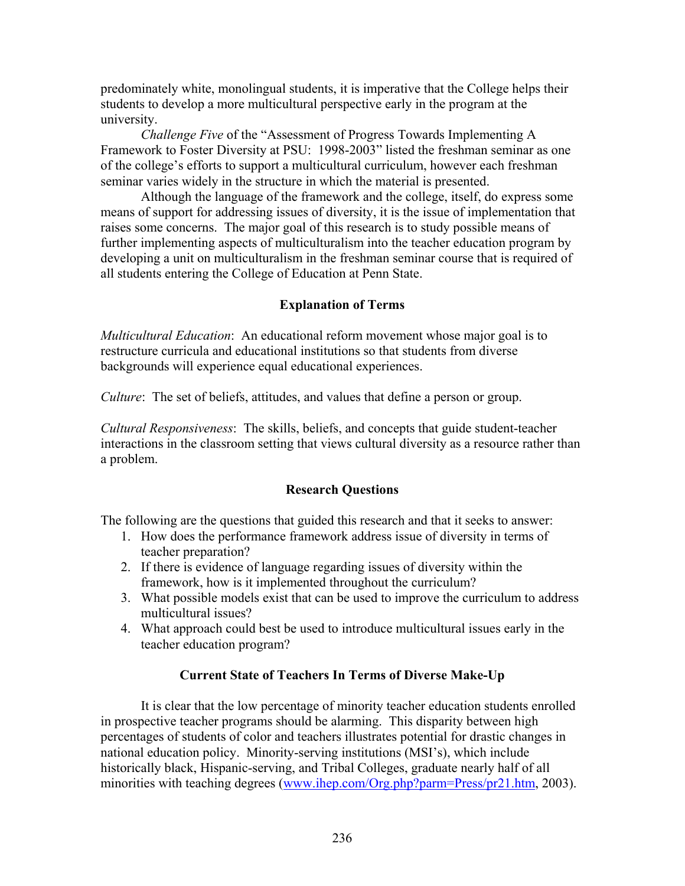predominately white, monolingual students, it is imperative that the College helps their students to develop a more multicultural perspective early in the program at the university.

*Challenge Five* of the "Assessment of Progress Towards Implementing A Framework to Foster Diversity at PSU: 1998-2003" listed the freshman seminar as one of the college's efforts to support a multicultural curriculum, however each freshman seminar varies widely in the structure in which the material is presented.

Although the language of the framework and the college, itself, do express some means of support for addressing issues of diversity, it is the issue of implementation that raises some concerns. The major goal of this research is to study possible means of further implementing aspects of multiculturalism into the teacher education program by developing a unit on multiculturalism in the freshman seminar course that is required of all students entering the College of Education at Penn State.

# **Explanation of Terms**

*Multicultural Education*: An educational reform movement whose major goal is to restructure curricula and educational institutions so that students from diverse backgrounds will experience equal educational experiences.

*Culture*: The set of beliefs, attitudes, and values that define a person or group.

*Cultural Responsiveness*: The skills, beliefs, and concepts that guide student-teacher interactions in the classroom setting that views cultural diversity as a resource rather than a problem.

# **Research Questions**

The following are the questions that guided this research and that it seeks to answer:

- 1. How does the performance framework address issue of diversity in terms of teacher preparation?
- 2. If there is evidence of language regarding issues of diversity within the framework, how is it implemented throughout the curriculum?
- 3. What possible models exist that can be used to improve the curriculum to address multicultural issues?
- 4. What approach could best be used to introduce multicultural issues early in the teacher education program?

# **Current State of Teachers In Terms of Diverse Make-Up**

 It is clear that the low percentage of minority teacher education students enrolled in prospective teacher programs should be alarming. This disparity between high percentages of students of color and teachers illustrates potential for drastic changes in national education policy. Minority-serving institutions (MSI's), which include historically black, Hispanic-serving, and Tribal Colleges, graduate nearly half of all minorities with teaching degrees (www.ihep.com/Org.php?parm=Press/pr21.htm, 2003).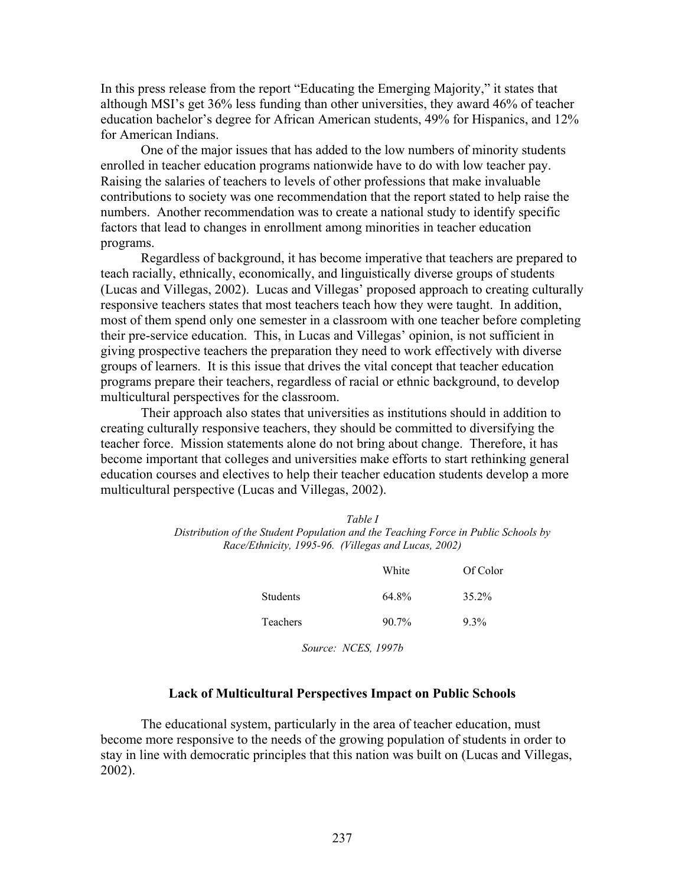In this press release from the report "Educating the Emerging Majority," it states that although MSI's get 36% less funding than other universities, they award 46% of teacher education bachelor's degree for African American students, 49% for Hispanics, and 12% for American Indians.

One of the major issues that has added to the low numbers of minority students enrolled in teacher education programs nationwide have to do with low teacher pay. Raising the salaries of teachers to levels of other professions that make invaluable contributions to society was one recommendation that the report stated to help raise the numbers. Another recommendation was to create a national study to identify specific factors that lead to changes in enrollment among minorities in teacher education programs.

Regardless of background, it has become imperative that teachers are prepared to teach racially, ethnically, economically, and linguistically diverse groups of students (Lucas and Villegas, 2002). Lucas and Villegas' proposed approach to creating culturally responsive teachers states that most teachers teach how they were taught. In addition, most of them spend only one semester in a classroom with one teacher before completing their pre-service education. This, in Lucas and Villegas' opinion, is not sufficient in giving prospective teachers the preparation they need to work effectively with diverse groups of learners. It is this issue that drives the vital concept that teacher education programs prepare their teachers, regardless of racial or ethnic background, to develop multicultural perspectives for the classroom.

Their approach also states that universities as institutions should in addition to creating culturally responsive teachers, they should be committed to diversifying the teacher force. Mission statements alone do not bring about change. Therefore, it has become important that colleges and universities make efforts to start rethinking general education courses and electives to help their teacher education students develop a more multicultural perspective (Lucas and Villegas, 2002).

| Table I                                                                            |
|------------------------------------------------------------------------------------|
| Distribution of the Student Population and the Teaching Force in Public Schools by |
| Race/Ethnicity, 1995-96. (Villegas and Lucas, 2002)                                |

|                 | White               | Of Color |
|-----------------|---------------------|----------|
| <b>Students</b> | 64.8%               | 35.2%    |
| Teachers        | $90.7\%$            | $9.3\%$  |
|                 | Source: NCES, 1997b |          |

#### **Lack of Multicultural Perspectives Impact on Public Schools**

 The educational system, particularly in the area of teacher education, must become more responsive to the needs of the growing population of students in order to stay in line with democratic principles that this nation was built on (Lucas and Villegas, 2002).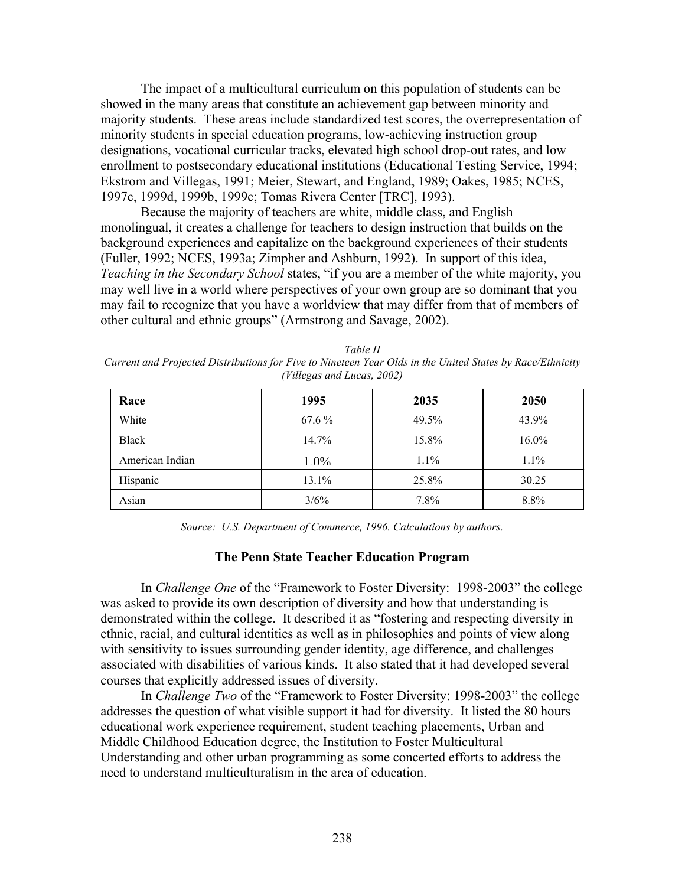The impact of a multicultural curriculum on this population of students can be showed in the many areas that constitute an achievement gap between minority and majority students. These areas include standardized test scores, the overrepresentation of minority students in special education programs, low-achieving instruction group designations, vocational curricular tracks, elevated high school drop-out rates, and low enrollment to postsecondary educational institutions (Educational Testing Service, 1994; Ekstrom and Villegas, 1991; Meier, Stewart, and England, 1989; Oakes, 1985; NCES, 1997c, 1999d, 1999b, 1999c; Tomas Rivera Center [TRC], 1993).

Because the majority of teachers are white, middle class, and English monolingual, it creates a challenge for teachers to design instruction that builds on the background experiences and capitalize on the background experiences of their students (Fuller, 1992; NCES, 1993a; Zimpher and Ashburn, 1992). In support of this idea, *Teaching in the Secondary School* states, "if you are a member of the white majority, you may well live in a world where perspectives of your own group are so dominant that you may fail to recognize that you have a worldview that may differ from that of members of other cultural and ethnic groups" (Armstrong and Savage, 2002).

| Race            | 1995    | 2035  | 2050     |
|-----------------|---------|-------|----------|
| White           | 67.6 %  | 49.5% | 43.9%    |
| <b>Black</b>    | 14.7%   | 15.8% | $16.0\%$ |
| American Indian | $1.0\%$ | 1.1%  | $1.1\%$  |
| Hispanic        | 13.1%   | 25.8% | 30.25    |
| Asian           | 3/6%    | 7.8%  | 8.8%     |

*Table II Current and Projected Distributions for Five to Nineteen Year Olds in the United States by Race/Ethnicity (Villegas and Lucas, 2002)* 

*Source: U.S. Department of Commerce, 1996. Calculations by authors.* 

#### **The Penn State Teacher Education Program**

 In *Challenge One* of the "Framework to Foster Diversity: 1998-2003" the college was asked to provide its own description of diversity and how that understanding is demonstrated within the college. It described it as "fostering and respecting diversity in ethnic, racial, and cultural identities as well as in philosophies and points of view along with sensitivity to issues surrounding gender identity, age difference, and challenges associated with disabilities of various kinds. It also stated that it had developed several courses that explicitly addressed issues of diversity.

In *Challenge Two* of the "Framework to Foster Diversity: 1998-2003" the college addresses the question of what visible support it had for diversity. It listed the 80 hours educational work experience requirement, student teaching placements, Urban and Middle Childhood Education degree, the Institution to Foster Multicultural Understanding and other urban programming as some concerted efforts to address the need to understand multiculturalism in the area of education.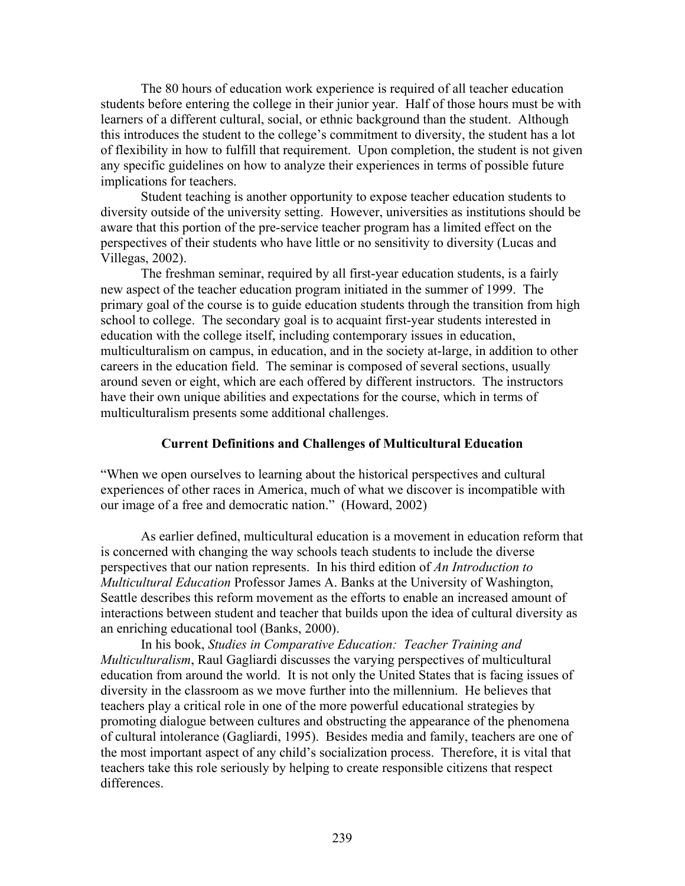The 80 hours of education work experience is required of all teacher education students before entering the college in their junior year. Half of those hours must be with learners of a different cultural, social, or ethnic background than the student. Although this introduces the student to the college's commitment to diversity, the student has a lot of flexibility in how to fulfill that requirement. Upon completion, the student is not given any specific guidelines on how to analyze their experiences in terms of possible future implications for teachers.

 Student teaching is another opportunity to expose teacher education students to diversity outside of the university setting. However, universities as institutions should be aware that this portion of the pre-service teacher program has a limited effect on the perspectives of their students who have little or no sensitivity to diversity (Lucas and Villegas, 2002).

 The freshman seminar, required by all first-year education students, is a fairly new aspect of the teacher education program initiated in the summer of 1999. The primary goal of the course is to guide education students through the transition from high school to college. The secondary goal is to acquaint first-year students interested in education with the college itself, including contemporary issues in education, multiculturalism on campus, in education, and in the society at-large, in addition to other careers in the education field. The seminar is composed of several sections, usually around seven or eight, which are each offered by different instructors. The instructors have their own unique abilities and expectations for the course, which in terms of multiculturalism presents some additional challenges.

#### **Current Definitions and Challenges of Multicultural Education**

"When we open ourselves to learning about the historical perspectives and cultural experiences of other races in America, much of what we discover is incompatible with our image of a free and democratic nation." (Howard, 2002)

 As earlier defined, multicultural education is a movement in education reform that is concerned with changing the way schools teach students to include the diverse perspectives that our nation represents. In his third edition of *An Introduction to Multicultural Education* Professor James A. Banks at the University of Washington, Seattle describes this reform movement as the efforts to enable an increased amount of interactions between student and teacher that builds upon the idea of cultural diversity as an enriching educational tool (Banks, 2000).

 In his book, *Studies in Comparative Education: Teacher Training and Multiculturalism*, Raul Gagliardi discusses the varying perspectives of multicultural education from around the world. It is not only the United States that is facing issues of diversity in the classroom as we move further into the millennium. He believes that teachers play a critical role in one of the more powerful educational strategies by promoting dialogue between cultures and obstructing the appearance of the phenomena of cultural intolerance (Gagliardi, 1995). Besides media and family, teachers are one of the most important aspect of any child's socialization process. Therefore, it is vital that teachers take this role seriously by helping to create responsible citizens that respect differences.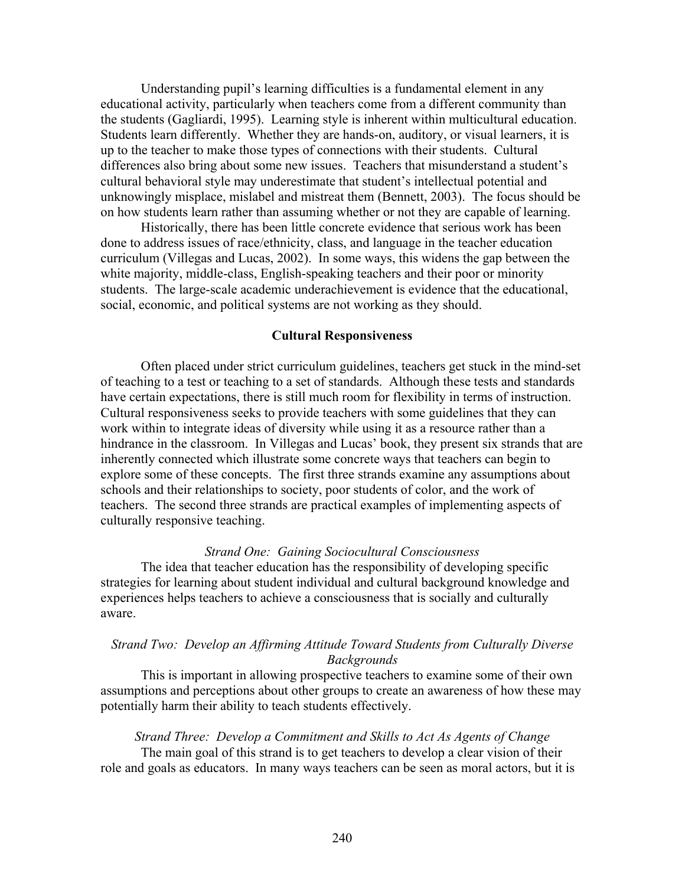Understanding pupil's learning difficulties is a fundamental element in any educational activity, particularly when teachers come from a different community than the students (Gagliardi, 1995). Learning style is inherent within multicultural education. Students learn differently. Whether they are hands-on, auditory, or visual learners, it is up to the teacher to make those types of connections with their students. Cultural differences also bring about some new issues. Teachers that misunderstand a student's cultural behavioral style may underestimate that student's intellectual potential and unknowingly misplace, mislabel and mistreat them (Bennett, 2003). The focus should be on how students learn rather than assuming whether or not they are capable of learning.

 Historically, there has been little concrete evidence that serious work has been done to address issues of race/ethnicity, class, and language in the teacher education curriculum (Villegas and Lucas, 2002). In some ways, this widens the gap between the white majority, middle-class, English-speaking teachers and their poor or minority students. The large-scale academic underachievement is evidence that the educational, social, economic, and political systems are not working as they should.

#### **Cultural Responsiveness**

 Often placed under strict curriculum guidelines, teachers get stuck in the mind-set of teaching to a test or teaching to a set of standards. Although these tests and standards have certain expectations, there is still much room for flexibility in terms of instruction. Cultural responsiveness seeks to provide teachers with some guidelines that they can work within to integrate ideas of diversity while using it as a resource rather than a hindrance in the classroom. In Villegas and Lucas' book, they present six strands that are inherently connected which illustrate some concrete ways that teachers can begin to explore some of these concepts. The first three strands examine any assumptions about schools and their relationships to society, poor students of color, and the work of teachers. The second three strands are practical examples of implementing aspects of culturally responsive teaching.

#### *Strand One: Gaining Sociocultural Consciousness*

 The idea that teacher education has the responsibility of developing specific strategies for learning about student individual and cultural background knowledge and experiences helps teachers to achieve a consciousness that is socially and culturally aware.

### *Strand Two: Develop an Affirming Attitude Toward Students from Culturally Diverse Backgrounds*

This is important in allowing prospective teachers to examine some of their own assumptions and perceptions about other groups to create an awareness of how these may potentially harm their ability to teach students effectively.

### *Strand Three: Develop a Commitment and Skills to Act As Agents of Change*  The main goal of this strand is to get teachers to develop a clear vision of their role and goals as educators. In many ways teachers can be seen as moral actors, but it is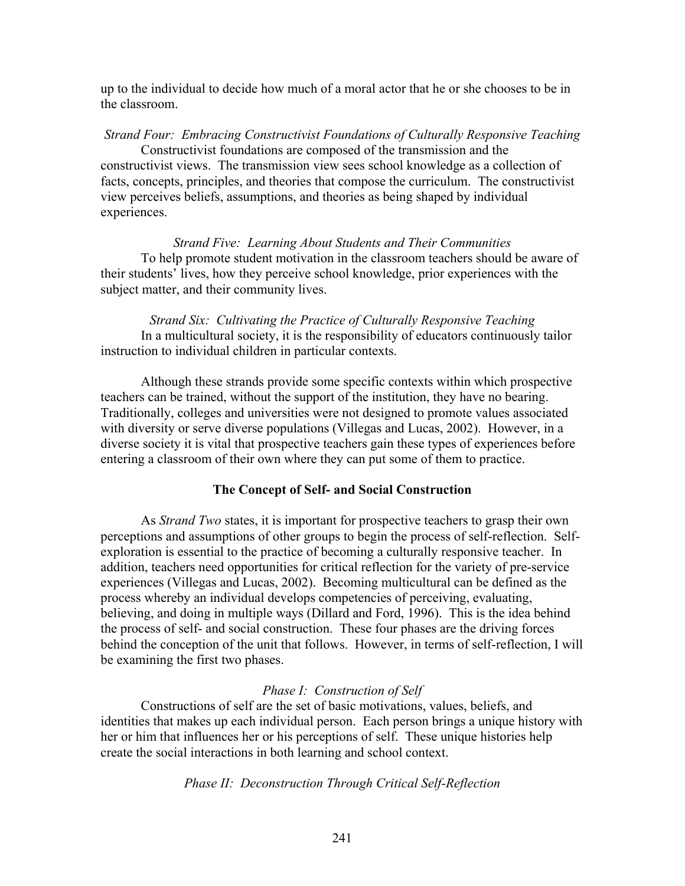up to the individual to decide how much of a moral actor that he or she chooses to be in the classroom.

*Strand Four: Embracing Constructivist Foundations of Culturally Responsive Teaching*  Constructivist foundations are composed of the transmission and the constructivist views. The transmission view sees school knowledge as a collection of facts, concepts, principles, and theories that compose the curriculum. The constructivist view perceives beliefs, assumptions, and theories as being shaped by individual experiences.

*Strand Five: Learning About Students and Their Communities*  To help promote student motivation in the classroom teachers should be aware of their students' lives, how they perceive school knowledge, prior experiences with the subject matter, and their community lives.

*Strand Six: Cultivating the Practice of Culturally Responsive Teaching*  In a multicultural society, it is the responsibility of educators continuously tailor instruction to individual children in particular contexts.

 Although these strands provide some specific contexts within which prospective teachers can be trained, without the support of the institution, they have no bearing. Traditionally, colleges and universities were not designed to promote values associated with diversity or serve diverse populations (Villegas and Lucas, 2002). However, in a diverse society it is vital that prospective teachers gain these types of experiences before entering a classroom of their own where they can put some of them to practice.

#### **The Concept of Self- and Social Construction**

 As *Strand Two* states, it is important for prospective teachers to grasp their own perceptions and assumptions of other groups to begin the process of self-reflection. Selfexploration is essential to the practice of becoming a culturally responsive teacher. In addition, teachers need opportunities for critical reflection for the variety of pre-service experiences (Villegas and Lucas, 2002). Becoming multicultural can be defined as the process whereby an individual develops competencies of perceiving, evaluating, believing, and doing in multiple ways (Dillard and Ford, 1996). This is the idea behind the process of self- and social construction. These four phases are the driving forces behind the conception of the unit that follows. However, in terms of self-reflection, I will be examining the first two phases.

#### *Phase I: Construction of Self*

 Constructions of self are the set of basic motivations, values, beliefs, and identities that makes up each individual person. Each person brings a unique history with her or him that influences her or his perceptions of self. These unique histories help create the social interactions in both learning and school context.

#### *Phase II: Deconstruction Through Critical Self-Reflection*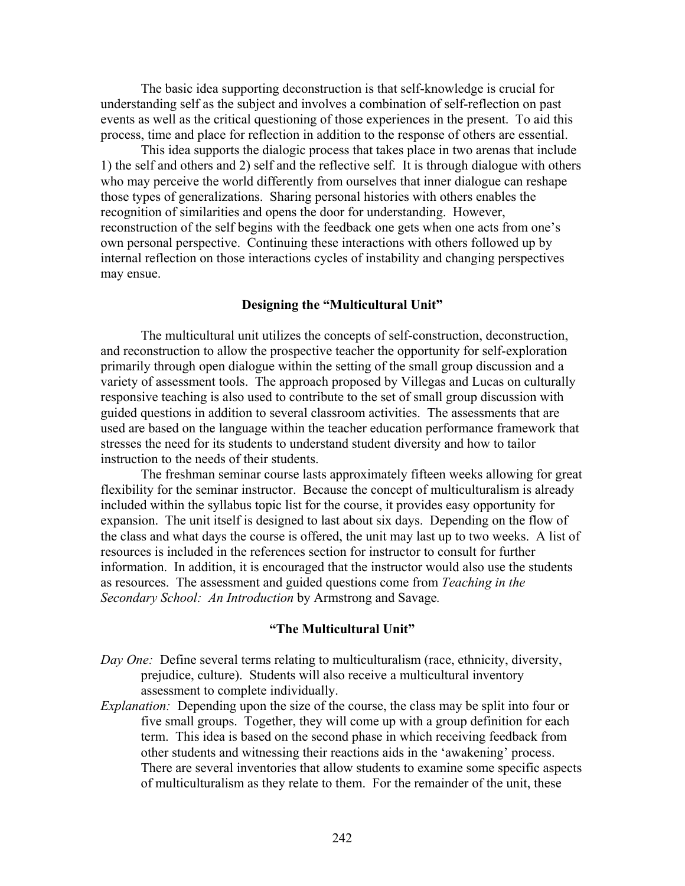The basic idea supporting deconstruction is that self-knowledge is crucial for understanding self as the subject and involves a combination of self-reflection on past events as well as the critical questioning of those experiences in the present. To aid this process, time and place for reflection in addition to the response of others are essential.

This idea supports the dialogic process that takes place in two arenas that include 1) the self and others and 2) self and the reflective self. It is through dialogue with others who may perceive the world differently from ourselves that inner dialogue can reshape those types of generalizations. Sharing personal histories with others enables the recognition of similarities and opens the door for understanding. However, reconstruction of the self begins with the feedback one gets when one acts from one's own personal perspective. Continuing these interactions with others followed up by internal reflection on those interactions cycles of instability and changing perspectives may ensue.

#### **Designing the "Multicultural Unit"**

The multicultural unit utilizes the concepts of self-construction, deconstruction, and reconstruction to allow the prospective teacher the opportunity for self-exploration primarily through open dialogue within the setting of the small group discussion and a variety of assessment tools. The approach proposed by Villegas and Lucas on culturally responsive teaching is also used to contribute to the set of small group discussion with guided questions in addition to several classroom activities. The assessments that are used are based on the language within the teacher education performance framework that stresses the need for its students to understand student diversity and how to tailor instruction to the needs of their students.

 The freshman seminar course lasts approximately fifteen weeks allowing for great flexibility for the seminar instructor. Because the concept of multiculturalism is already included within the syllabus topic list for the course, it provides easy opportunity for expansion. The unit itself is designed to last about six days. Depending on the flow of the class and what days the course is offered, the unit may last up to two weeks. A list of resources is included in the references section for instructor to consult for further information. In addition, it is encouraged that the instructor would also use the students as resources. The assessment and guided questions come from *Teaching in the Secondary School: An Introduction* by Armstrong and Savage*.* 

#### **"The Multicultural Unit"**

- *Day One:* Define several terms relating to multiculturalism (race, ethnicity, diversity, prejudice, culture). Students will also receive a multicultural inventory assessment to complete individually.
- *Explanation:* Depending upon the size of the course, the class may be split into four or five small groups. Together, they will come up with a group definition for each term. This idea is based on the second phase in which receiving feedback from other students and witnessing their reactions aids in the 'awakening' process. There are several inventories that allow students to examine some specific aspects of multiculturalism as they relate to them. For the remainder of the unit, these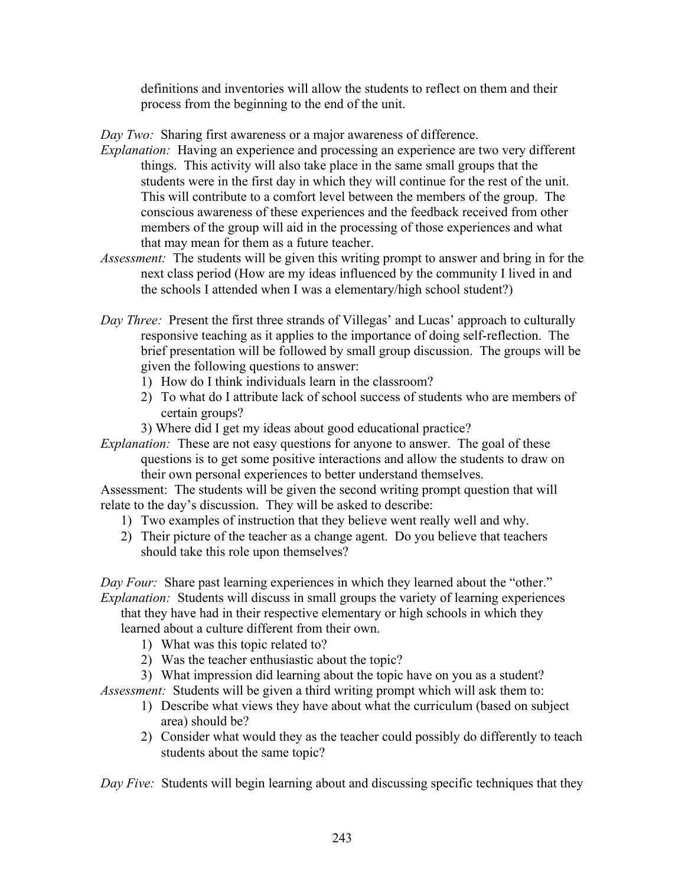definitions and inventories will allow the students to reflect on them and their process from the beginning to the end of the unit.

*Day Two:* Sharing first awareness or a major awareness of difference.

- *Explanation:* Having an experience and processing an experience are two very different things. This activity will also take place in the same small groups that the students were in the first day in which they will continue for the rest of the unit. This will contribute to a comfort level between the members of the group. The conscious awareness of these experiences and the feedback received from other members of the group will aid in the processing of those experiences and what that may mean for them as a future teacher.
- *Assessment:* The students will be given this writing prompt to answer and bring in for the next class period (How are my ideas influenced by the community I lived in and the schools I attended when I was a elementary/high school student?)
- *Day Three:* Present the first three strands of Villegas' and Lucas' approach to culturally responsive teaching as it applies to the importance of doing self-reflection. The brief presentation will be followed by small group discussion. The groups will be given the following questions to answer:
	- 1) How do I think individuals learn in the classroom?
	- 2) To what do I attribute lack of school success of students who are members of certain groups?
	- 3) Where did I get my ideas about good educational practice?

*Explanation:* These are not easy questions for anyone to answer. The goal of these questions is to get some positive interactions and allow the students to draw on their own personal experiences to better understand themselves.

Assessment: The students will be given the second writing prompt question that will relate to the day's discussion. They will be asked to describe:

- 1) Two examples of instruction that they believe went really well and why.
- 2) Their picture of the teacher as a change agent. Do you believe that teachers should take this role upon themselves?

*Day Four:* Share past learning experiences in which they learned about the "other." *Explanation:* Students will discuss in small groups the variety of learning experiences that they have had in their respective elementary or high schools in which they learned about a culture different from their own.

- 1) What was this topic related to?
- 2) Was the teacher enthusiastic about the topic?
- 3) What impression did learning about the topic have on you as a student?

*Assessment:* Students will be given a third writing prompt which will ask them to:

- 1) Describe what views they have about what the curriculum (based on subject area) should be?
- 2) Consider what would they as the teacher could possibly do differently to teach students about the same topic?

*Day Five:* Students will begin learning about and discussing specific techniques that they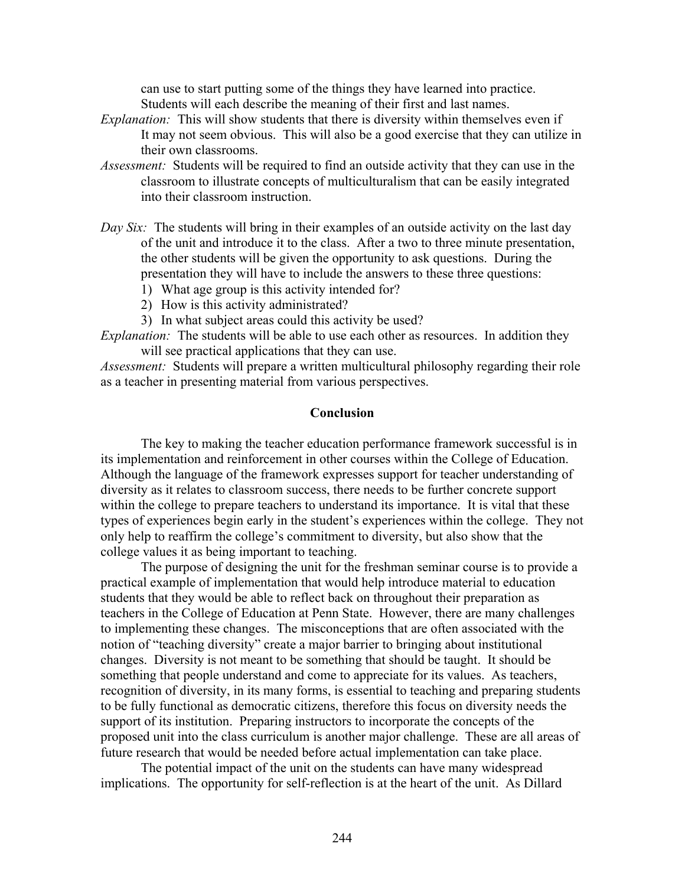can use to start putting some of the things they have learned into practice. Students will each describe the meaning of their first and last names.

- *Explanation:* This will show students that there is diversity within themselves even if It may not seem obvious. This will also be a good exercise that they can utilize in their own classrooms.
- *Assessment:* Students will be required to find an outside activity that they can use in the classroom to illustrate concepts of multiculturalism that can be easily integrated into their classroom instruction.
- *Day Six:* The students will bring in their examples of an outside activity on the last day of the unit and introduce it to the class. After a two to three minute presentation, the other students will be given the opportunity to ask questions. During the presentation they will have to include the answers to these three questions:
	- 1) What age group is this activity intended for?
	- 2) How is this activity administrated?
	- 3) In what subject areas could this activity be used?

*Explanation:* The students will be able to use each other as resources. In addition they will see practical applications that they can use.

*Assessment:* Students will prepare a written multicultural philosophy regarding their role as a teacher in presenting material from various perspectives.

### **Conclusion**

 The key to making the teacher education performance framework successful is in its implementation and reinforcement in other courses within the College of Education. Although the language of the framework expresses support for teacher understanding of diversity as it relates to classroom success, there needs to be further concrete support within the college to prepare teachers to understand its importance. It is vital that these types of experiences begin early in the student's experiences within the college. They not only help to reaffirm the college's commitment to diversity, but also show that the college values it as being important to teaching.

 The purpose of designing the unit for the freshman seminar course is to provide a practical example of implementation that would help introduce material to education students that they would be able to reflect back on throughout their preparation as teachers in the College of Education at Penn State. However, there are many challenges to implementing these changes. The misconceptions that are often associated with the notion of "teaching diversity" create a major barrier to bringing about institutional changes. Diversity is not meant to be something that should be taught. It should be something that people understand and come to appreciate for its values. As teachers, recognition of diversity, in its many forms, is essential to teaching and preparing students to be fully functional as democratic citizens, therefore this focus on diversity needs the support of its institution. Preparing instructors to incorporate the concepts of the proposed unit into the class curriculum is another major challenge. These are all areas of future research that would be needed before actual implementation can take place.

 The potential impact of the unit on the students can have many widespread implications. The opportunity for self-reflection is at the heart of the unit. As Dillard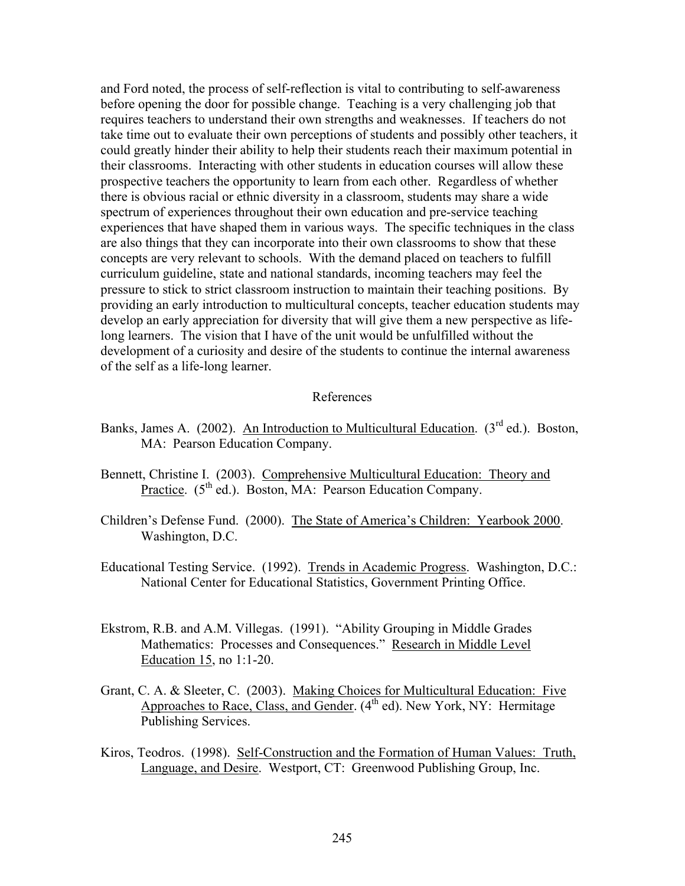and Ford noted, the process of self-reflection is vital to contributing to self-awareness before opening the door for possible change. Teaching is a very challenging job that requires teachers to understand their own strengths and weaknesses. If teachers do not take time out to evaluate their own perceptions of students and possibly other teachers, it could greatly hinder their ability to help their students reach their maximum potential in their classrooms. Interacting with other students in education courses will allow these prospective teachers the opportunity to learn from each other. Regardless of whether there is obvious racial or ethnic diversity in a classroom, students may share a wide spectrum of experiences throughout their own education and pre-service teaching experiences that have shaped them in various ways. The specific techniques in the class are also things that they can incorporate into their own classrooms to show that these concepts are very relevant to schools. With the demand placed on teachers to fulfill curriculum guideline, state and national standards, incoming teachers may feel the pressure to stick to strict classroom instruction to maintain their teaching positions. By providing an early introduction to multicultural concepts, teacher education students may develop an early appreciation for diversity that will give them a new perspective as lifelong learners. The vision that I have of the unit would be unfulfilled without the development of a curiosity and desire of the students to continue the internal awareness of the self as a life-long learner.

#### References

- Banks, James A. (2002). An Introduction to Multicultural Education.  $3^{rd}$  ed.). Boston, MA: Pearson Education Company.
- Bennett, Christine I. (2003). Comprehensive Multicultural Education: Theory and Practice.  $(5^{th}$  ed.). Boston, MA: Pearson Education Company.
- Children's Defense Fund. (2000). The State of America's Children: Yearbook 2000. Washington, D.C.
- Educational Testing Service. (1992). Trends in Academic Progress. Washington, D.C.: National Center for Educational Statistics, Government Printing Office.
- Ekstrom, R.B. and A.M. Villegas. (1991). "Ability Grouping in Middle Grades Mathematics: Processes and Consequences." Research in Middle Level Education 15, no 1:1-20.
- Grant, C. A. & Sleeter, C. (2003). Making Choices for Multicultural Education: Five Approaches to Race, Class, and Gender.  $(4<sup>th</sup>$  ed). New York, NY: Hermitage Publishing Services.
- Kiros, Teodros. (1998). Self-Construction and the Formation of Human Values: Truth, Language, and Desire. Westport, CT: Greenwood Publishing Group, Inc.